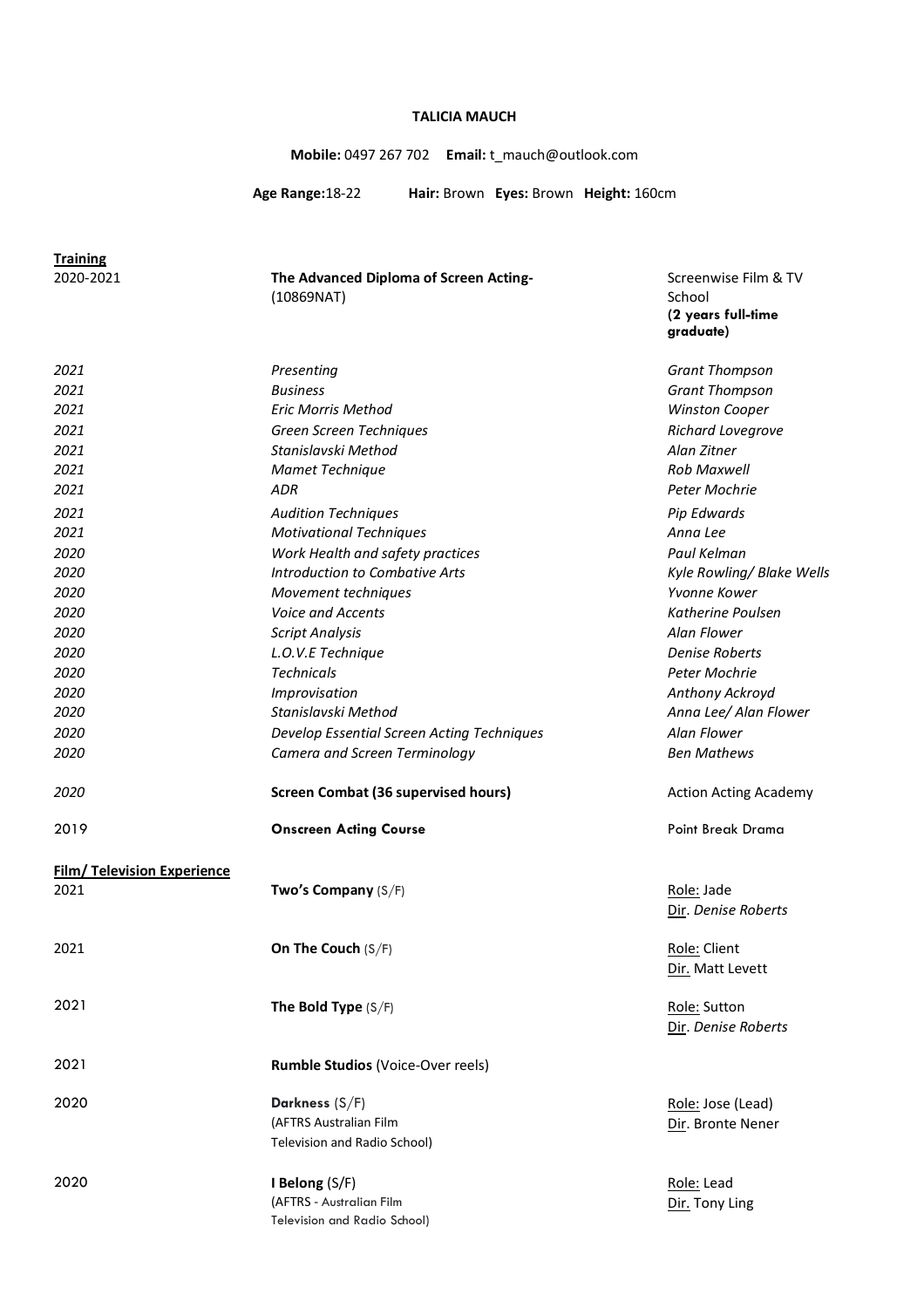### **TALICIA MAUCH**

**Mobile:** 0497 267 702 **Email:** t\_mauch@outlook.com

Screenwise Film & TV

**(2 years full-time** 

School

**Age Range:**18-22 **Hair:** Brown **Eyes:** Brown **Height:** 160cm

**Training**

**The Advanced Diploma of Screen Acting-**(10869NAT)

|                                    |                                            | graduate)                           |
|------------------------------------|--------------------------------------------|-------------------------------------|
| 2021                               | Presenting                                 | <b>Grant Thompson</b>               |
| 2021                               | <b>Business</b>                            | <b>Grant Thompson</b>               |
| 2021                               | Eric Morris Method                         | <b>Winston Cooper</b>               |
| 2021                               | Green Screen Techniques                    | Richard Lovegrove                   |
| 2021                               | Stanislavski Method                        | Alan Zitner                         |
| 2021                               | Mamet Technique                            | <b>Rob Maxwell</b>                  |
| 2021                               | ADR                                        | Peter Mochrie                       |
| 2021                               | <b>Audition Techniques</b>                 | Pip Edwards                         |
| 2021                               | <b>Motivational Techniques</b>             | Anna Lee                            |
| 2020                               | Work Health and safety practices           | Paul Kelman                         |
| 2020                               | <b>Introduction to Combative Arts</b>      | Kyle Rowling/ Blake Wells           |
| 2020                               | Movement techniques                        | Yvonne Kower                        |
| 2020                               | Voice and Accents                          | Katherine Poulsen                   |
| 2020                               | <b>Script Analysis</b>                     | Alan Flower                         |
| 2020                               | L.O.V.E Technique                          | <b>Denise Roberts</b>               |
| 2020                               | <b>Technicals</b>                          | Peter Mochrie                       |
| 2020                               | Improvisation                              | Anthony Ackroyd                     |
| 2020                               | Stanislavski Method                        | Anna Lee/ Alan Flower               |
| 2020                               | Develop Essential Screen Acting Techniques | Alan Flower                         |
| 2020                               | Camera and Screen Terminology              | <b>Ben Mathews</b>                  |
| 2020                               | <b>Screen Combat (36 supervised hours)</b> | <b>Action Acting Academy</b>        |
| 2019                               | <b>Onscreen Acting Course</b>              | Point Break Drama                   |
| <b>Film/ Television Experience</b> |                                            |                                     |
| 2021                               | Two's Company (S/F)                        | Role: Jade<br>Dir. Denise Roberts   |
| 2021                               | On The Couch $(S/F)$                       | Role: Client                        |
|                                    |                                            | Dir. Matt Levett                    |
| 2021                               | The Bold Type $(S/F)$                      | Role: Sutton<br>Dir. Denise Roberts |
| 2021                               | Rumble Studios (Voice-Over reels)          |                                     |
| 2020                               | Darkness (S/F)                             | Role: Jose (Lead)                   |
|                                    | (AFTRS Australian Film                     | Dir. Bronte Nener                   |
|                                    | Television and Radio School)               |                                     |
| 2020                               | I Belong (S/F)                             | Role: Lead                          |
|                                    | (AFTRS - Australian Film                   | Dir. Tony Ling                      |
|                                    | Television and Radio School)               |                                     |